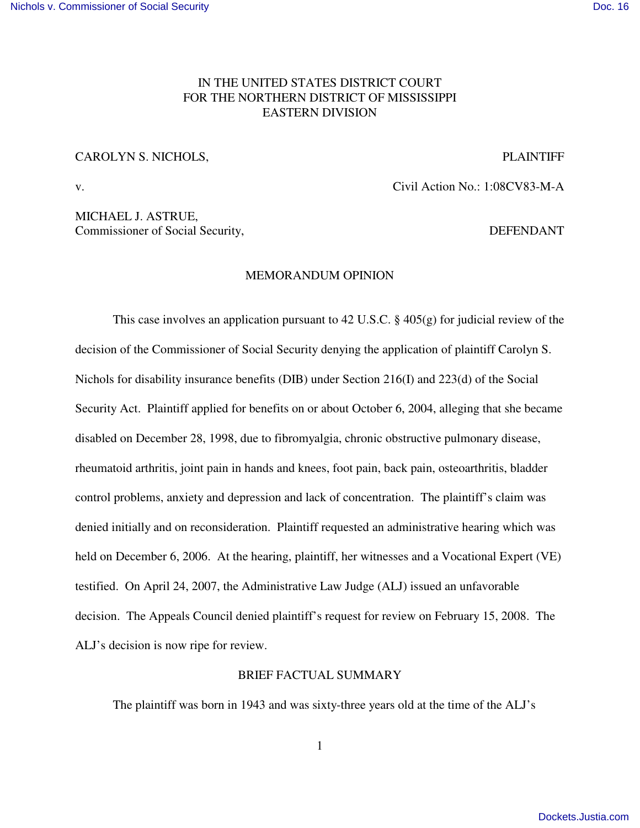## IN THE UNITED STATES DISTRICT COURT FOR THE NORTHERN DISTRICT OF MISSISSIPPI EASTERN DIVISION

### CAROLYN S. NICHOLS, PLAINTIFF

v. Civil Action No.: 1:08CV83-M-A

MICHAEL J. ASTRUE, Commissioner of Social Security, DEFENDANT

### MEMORANDUM OPINION

This case involves an application pursuant to 42 U.S.C. § 405(g) for judicial review of the decision of the Commissioner of Social Security denying the application of plaintiff Carolyn S. Nichols for disability insurance benefits (DIB) under Section 216(I) and 223(d) of the Social Security Act. Plaintiff applied for benefits on or about October 6, 2004, alleging that she became disabled on December 28, 1998, due to fibromyalgia, chronic obstructive pulmonary disease, rheumatoid arthritis, joint pain in hands and knees, foot pain, back pain, osteoarthritis, bladder control problems, anxiety and depression and lack of concentration. The plaintiff's claim was denied initially and on reconsideration. Plaintiff requested an administrative hearing which was held on December 6, 2006. At the hearing, plaintiff, her witnesses and a Vocational Expert (VE) testified. On April 24, 2007, the Administrative Law Judge (ALJ) issued an unfavorable decision. The Appeals Council denied plaintiff's request for review on February 15, 2008. The ALJ's decision is now ripe for review.

## BRIEF FACTUAL SUMMARY

The plaintiff was born in 1943 and was sixty-three years old at the time of the ALJ's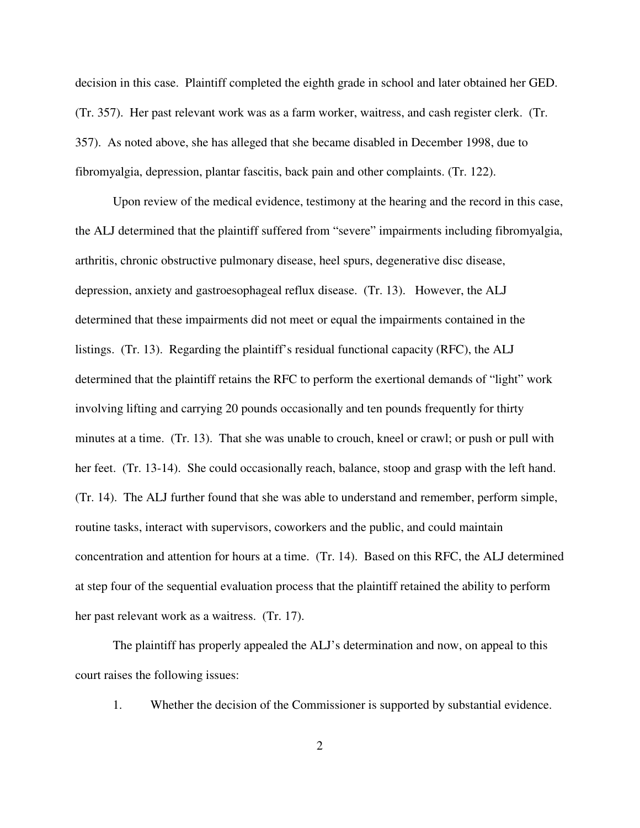decision in this case. Plaintiff completed the eighth grade in school and later obtained her GED. (Tr. 357). Her past relevant work was as a farm worker, waitress, and cash register clerk. (Tr. 357). As noted above, she has alleged that she became disabled in December 1998, due to fibromyalgia, depression, plantar fascitis, back pain and other complaints. (Tr. 122).

Upon review of the medical evidence, testimony at the hearing and the record in this case, the ALJ determined that the plaintiff suffered from "severe" impairments including fibromyalgia, arthritis, chronic obstructive pulmonary disease, heel spurs, degenerative disc disease, depression, anxiety and gastroesophageal reflux disease. (Tr. 13). However, the ALJ determined that these impairments did not meet or equal the impairments contained in the listings. (Tr. 13). Regarding the plaintiff's residual functional capacity (RFC), the ALJ determined that the plaintiff retains the RFC to perform the exertional demands of "light" work involving lifting and carrying 20 pounds occasionally and ten pounds frequently for thirty minutes at a time. (Tr. 13). That she was unable to crouch, kneel or crawl; or push or pull with her feet. (Tr. 13-14). She could occasionally reach, balance, stoop and grasp with the left hand. (Tr. 14). The ALJ further found that she was able to understand and remember, perform simple, routine tasks, interact with supervisors, coworkers and the public, and could maintain concentration and attention for hours at a time. (Tr. 14). Based on this RFC, the ALJ determined at step four of the sequential evaluation process that the plaintiff retained the ability to perform her past relevant work as a waitress. (Tr. 17).

The plaintiff has properly appealed the ALJ's determination and now, on appeal to this court raises the following issues:

1. Whether the decision of the Commissioner is supported by substantial evidence.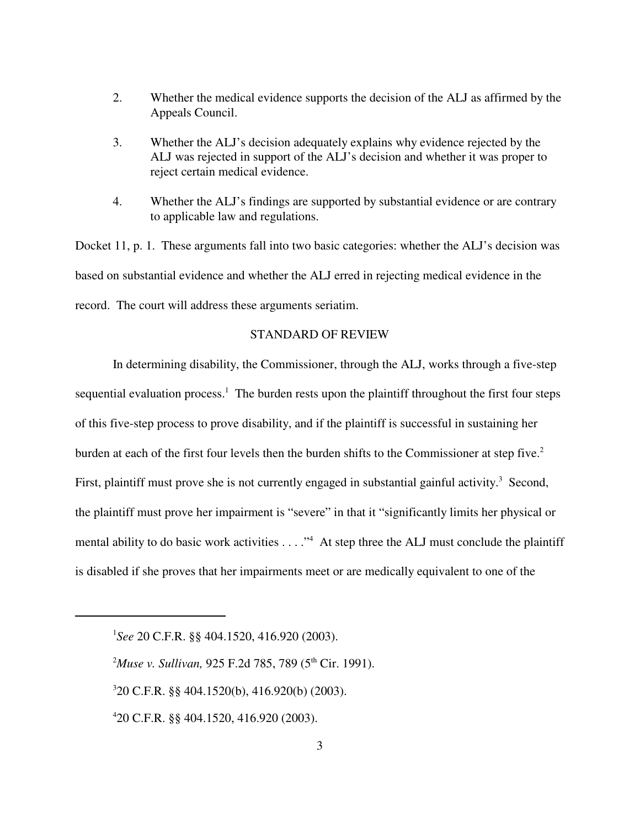- 2. Whether the medical evidence supports the decision of the ALJ as affirmed by the Appeals Council.
- 3. Whether the ALJ's decision adequately explains why evidence rejected by the ALJ was rejected in support of the ALJ's decision and whether it was proper to reject certain medical evidence.
- 4. Whether the ALJ's findings are supported by substantial evidence or are contrary to applicable law and regulations.

Docket 11, p. 1. These arguments fall into two basic categories: whether the ALJ's decision was based on substantial evidence and whether the ALJ erred in rejecting medical evidence in the record. The court will address these arguments seriatim.

### STANDARD OF REVIEW

In determining disability, the Commissioner, through the ALJ, works through a five-step sequential evaluation process.<sup>1</sup> The burden rests upon the plaintiff throughout the first four steps of this five-step process to prove disability, and if the plaintiff is successful in sustaining her burden at each of the first four levels then the burden shifts to the Commissioner at step five.<sup>2</sup> First, plaintiff must prove she is not currently engaged in substantial gainful activity.<sup>3</sup> Second, the plaintiff must prove her impairment is "severe" in that it "significantly limits her physical or mental ability to do basic work activities . . . ."<sup>4</sup> At step three the ALJ must conclude the plaintiff is disabled if she proves that her impairments meet or are medically equivalent to one of the

1 *See* 20 C.F.R. §§ 404.1520, 416.920 (2003).

<sup>2</sup>*Muse v. Sullivan,* 925 F.2d 785, 789 (5 th Cir. 1991).

3 20 C.F.R. §§ 404.1520(b), 416.920(b) (2003).

4 20 C.F.R. §§ 404.1520, 416.920 (2003).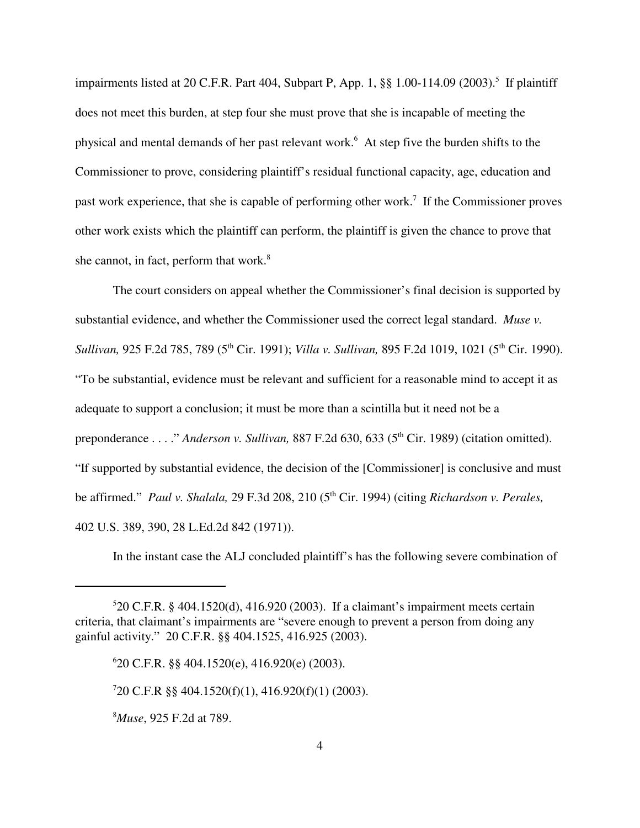impairments listed at 20 C.F.R. Part 404, Subpart P, App. 1, §§ 1.00-114.09 (2003). 5 If plaintiff does not meet this burden, at step four she must prove that she is incapable of meeting the physical and mental demands of her past relevant work. <sup>6</sup> At step five the burden shifts to the Commissioner to prove, considering plaintiff's residual functional capacity, age, education and past work experience, that she is capable of performing other work.<sup>7</sup> If the Commissioner proves other work exists which the plaintiff can perform, the plaintiff is given the chance to prove that she cannot, in fact, perform that work.<sup>8</sup>

The court considers on appeal whether the Commissioner's final decision is supported by substantial evidence, and whether the Commissioner used the correct legal standard. *Muse v. Sullivan,* 925 F.2d 785, 789 (5 th Cir. 1991); *Villa v. Sullivan,* 895 F.2d 1019, 1021 (5 th Cir. 1990). "To be substantial, evidence must be relevant and sufficient for a reasonable mind to accept it as adequate to support a conclusion; it must be more than a scintilla but it need not be a preponderance . . . ." *Anderson v. Sullivan*, 887 F.2d 630, 633 (5<sup>th</sup> Cir. 1989) (citation omitted). "If supported by substantial evidence, the decision of the [Commissioner] is conclusive and must be affirmed." Paul *v. Shalala,* 29 F.3d 208, 210 (5<sup>th</sup> Cir. 1994) (citing *Richardson v. Perales,* 402 U.S. 389, 390, 28 L.Ed.2d 842 (1971)).

In the instant case the ALJ concluded plaintiff's has the following severe combination of

<sup>8</sup>*Muse*, 925 F.2d at 789.

<sup>5</sup> 20 C.F.R. § 404.1520(d), 416.920 (2003). If a claimant's impairment meets certain criteria, that claimant's impairments are "severe enough to prevent a person from doing any gainful activity." 20 C.F.R. §§ 404.1525, 416.925 (2003).

<sup>6</sup> 20 C.F.R. §§ 404.1520(e), 416.920(e) (2003).

<sup>7</sup> 20 C.F.R §§ 404.1520(f)(1), 416.920(f)(1) (2003).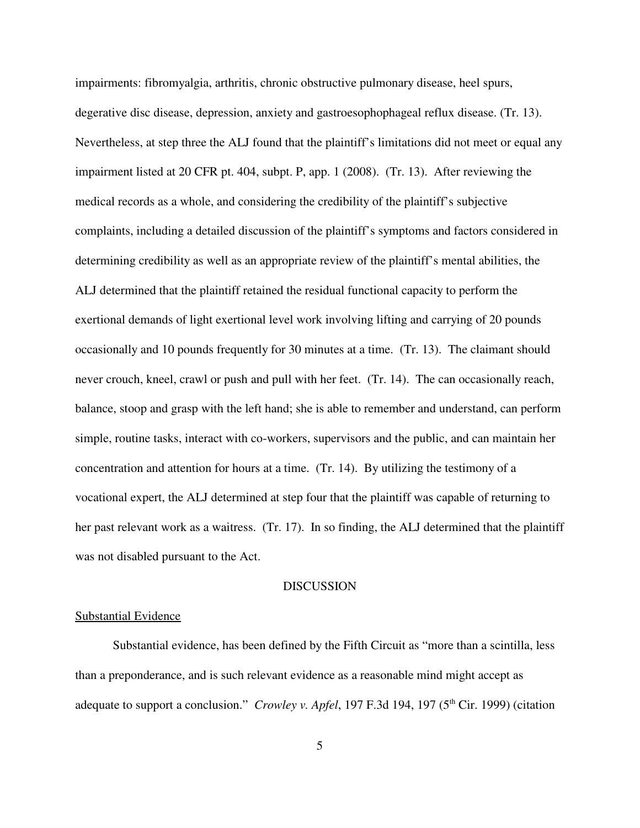impairments: fibromyalgia, arthritis, chronic obstructive pulmonary disease, heel spurs, degerative disc disease, depression, anxiety and gastroesophophageal reflux disease. (Tr. 13). Nevertheless, at step three the ALJ found that the plaintiff's limitations did not meet or equal any impairment listed at 20 CFR pt. 404, subpt. P, app. 1 (2008). (Tr. 13). After reviewing the medical records as a whole, and considering the credibility of the plaintiff's subjective complaints, including a detailed discussion of the plaintiff's symptoms and factors considered in determining credibility as well as an appropriate review of the plaintiff's mental abilities, the ALJ determined that the plaintiff retained the residual functional capacity to perform the exertional demands of light exertional level work involving lifting and carrying of 20 pounds occasionally and 10 pounds frequently for 30 minutes at a time. (Tr. 13). The claimant should never crouch, kneel, crawl or push and pull with her feet. (Tr. 14). The can occasionally reach, balance, stoop and grasp with the left hand; she is able to remember and understand, can perform simple, routine tasks, interact with co-workers, supervisors and the public, and can maintain her concentration and attention for hours at a time. (Tr. 14). By utilizing the testimony of a vocational expert, the ALJ determined at step four that the plaintiff was capable of returning to her past relevant work as a waitress. (Tr. 17). In so finding, the ALJ determined that the plaintiff was not disabled pursuant to the Act.

## **DISCUSSION**

#### Substantial Evidence

Substantial evidence, has been defined by the Fifth Circuit as "more than a scintilla, less than a preponderance, and is such relevant evidence as a reasonable mind might accept as adequate to support a conclusion." *Crowley v. Apfel*, 197 F.3d 194, 197 (5<sup>th</sup> Cir. 1999) (citation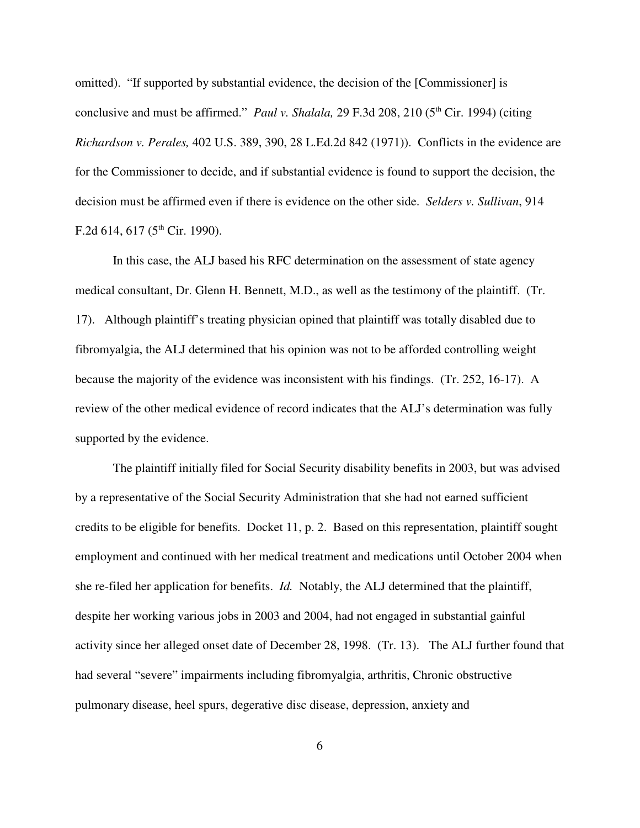omitted). "If supported by substantial evidence, the decision of the [Commissioner] is conclusive and must be affirmed." *Paul v. Shalala*, 29 F.3d 208, 210 (5<sup>th</sup> Cir. 1994) (citing *Richardson v. Perales,* 402 U.S. 389, 390, 28 L.Ed.2d 842 (1971)). Conflicts in the evidence are for the Commissioner to decide, and if substantial evidence is found to support the decision, the decision must be affirmed even if there is evidence on the other side. *Selders v. Sullivan*, 914 F.2d 614, 617 ( $5^{\text{th}}$  Cir. 1990).

In this case, the ALJ based his RFC determination on the assessment of state agency medical consultant, Dr. Glenn H. Bennett, M.D., as well as the testimony of the plaintiff. (Tr. 17). Although plaintiff's treating physician opined that plaintiff was totally disabled due to fibromyalgia, the ALJ determined that his opinion was not to be afforded controlling weight because the majority of the evidence was inconsistent with his findings. (Tr. 252, 16-17). A review of the other medical evidence of record indicates that the ALJ's determination was fully supported by the evidence.

The plaintiff initially filed for Social Security disability benefits in 2003, but was advised by a representative of the Social Security Administration that she had not earned sufficient credits to be eligible for benefits. Docket 11, p. 2. Based on this representation, plaintiff sought employment and continued with her medical treatment and medications until October 2004 when she re-filed her application for benefits. *Id.* Notably, the ALJ determined that the plaintiff, despite her working various jobs in 2003 and 2004, had not engaged in substantial gainful activity since her alleged onset date of December 28, 1998. (Tr. 13). The ALJ further found that had several "severe" impairments including fibromyalgia, arthritis, Chronic obstructive pulmonary disease, heel spurs, degerative disc disease, depression, anxiety and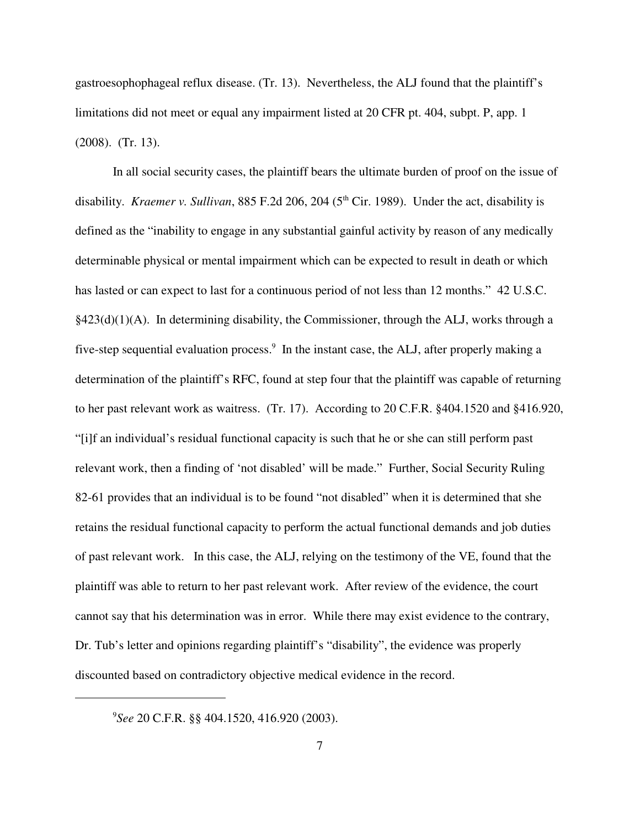gastroesophophageal reflux disease. (Tr. 13). Nevertheless, the ALJ found that the plaintiff's limitations did not meet or equal any impairment listed at 20 CFR pt. 404, subpt. P, app. 1 (2008). (Tr. 13).

In all social security cases, the plaintiff bears the ultimate burden of proof on the issue of disability. *Kraemer v. Sullivan*, 885 F.2d 206, 204 (5 th Cir. 1989). Under the act, disability is defined as the "inability to engage in any substantial gainful activity by reason of any medically determinable physical or mental impairment which can be expected to result in death or which has lasted or can expect to last for a continuous period of not less than 12 months." 42 U.S.C.  $§423(d)(1)(A)$ . In determining disability, the Commissioner, through the ALJ, works through a five-step sequential evaluation process.<sup>9</sup> In the instant case, the ALJ, after properly making a determination of the plaintiff's RFC, found at step four that the plaintiff was capable of returning to her past relevant work as waitress. (Tr. 17). According to 20 C.F.R. §404.1520 and §416.920, "[i]f an individual's residual functional capacity is such that he or she can still perform past relevant work, then a finding of 'not disabled' will be made." Further, Social Security Ruling 82-61 provides that an individual is to be found "not disabled" when it is determined that she retains the residual functional capacity to perform the actual functional demands and job duties of past relevant work. In this case, the ALJ, relying on the testimony of the VE, found that the plaintiff was able to return to her past relevant work. After review of the evidence, the court cannot say that his determination was in error. While there may exist evidence to the contrary, Dr. Tub's letter and opinions regarding plaintiff's "disability", the evidence was properly discounted based on contradictory objective medical evidence in the record.

9 *See* 20 C.F.R. §§ 404.1520, 416.920 (2003).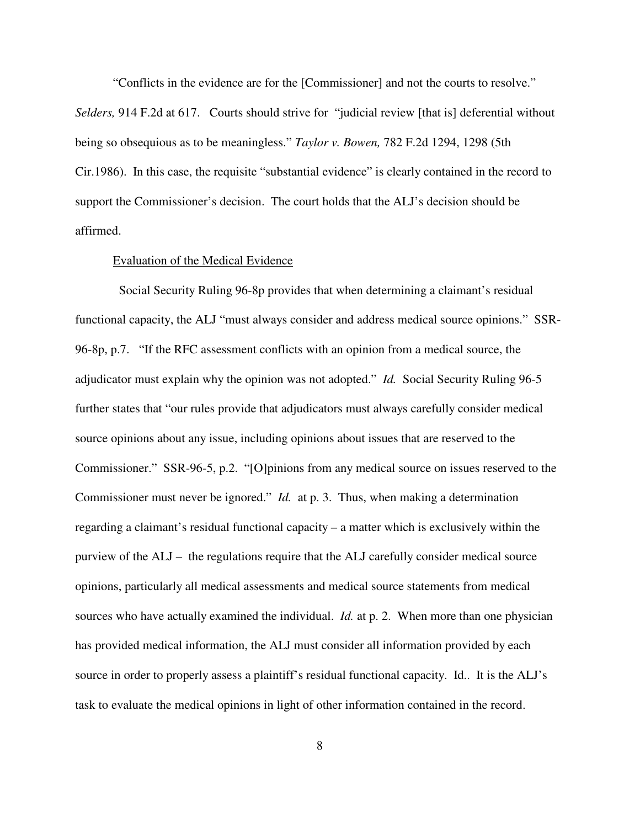"Conflicts in the evidence are for the [Commissioner] and not the courts to resolve." *Selders,* 914 F.2d at 617. Courts should strive for "judicial review [that is] deferential without being so obsequious as to be meaningless." *Taylor v. Bowen,* 782 F.2d 1294, 1298 (5th Cir.1986). In this case, the requisite "substantial evidence" is clearly contained in the record to support the Commissioner's decision. The court holds that the ALJ's decision should be affirmed.

#### Evaluation of the Medical Evidence

Social Security Ruling 96-8p provides that when determining a claimant's residual functional capacity, the ALJ "must always consider and address medical source opinions." SSR-96-8p, p.7. "If the RFC assessment conflicts with an opinion from a medical source, the adjudicator must explain why the opinion was not adopted." *Id.* Social Security Ruling 96-5 further states that "our rules provide that adjudicators must always carefully consider medical source opinions about any issue, including opinions about issues that are reserved to the Commissioner." SSR-96-5, p.2. "[O]pinions from any medical source on issues reserved to the Commissioner must never be ignored." *Id.* at p. 3. Thus, when making a determination regarding a claimant's residual functional capacity – a matter which is exclusively within the purview of the ALJ – the regulations require that the ALJ carefully consider medical source opinions, particularly all medical assessments and medical source statements from medical sources who have actually examined the individual. *Id.* at p. 2. When more than one physician has provided medical information, the ALJ must consider all information provided by each source in order to properly assess a plaintiff's residual functional capacity. Id.. It is the ALJ's task to evaluate the medical opinions in light of other information contained in the record.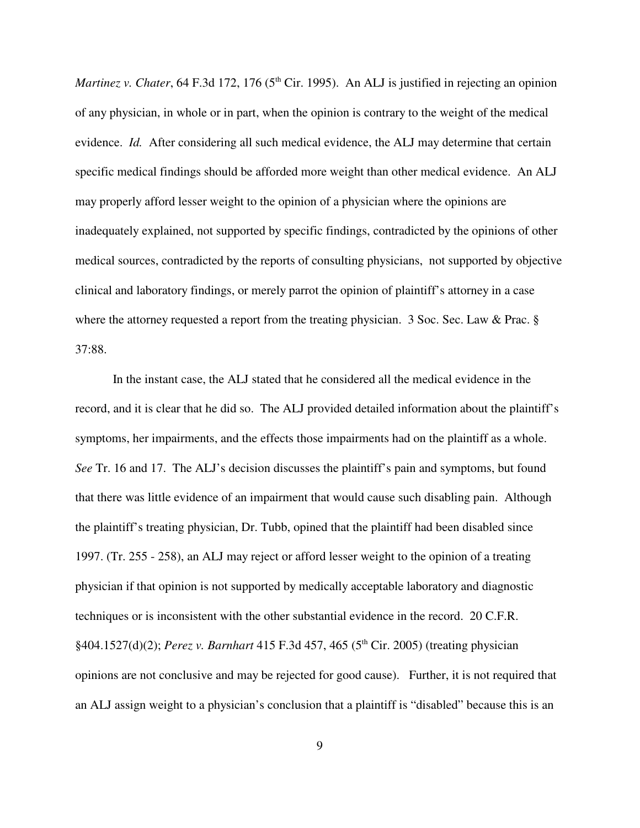*Martinez v. Chater*, 64 F.3d 172, 176 (5<sup>th</sup> Cir. 1995). An ALJ is justified in rejecting an opinion of any physician, in whole or in part, when the opinion is contrary to the weight of the medical evidence. *Id.* After considering all such medical evidence, the ALJ may determine that certain specific medical findings should be afforded more weight than other medical evidence. An ALJ may properly afford lesser weight to the opinion of a physician where the opinions are inadequately explained, not supported by specific findings, contradicted by the opinions of other medical sources, contradicted by the reports of consulting physicians, not supported by objective clinical and laboratory findings, or merely parrot the opinion of plaintiff's attorney in a case where the attorney requested a report from the treating physician. 3 Soc. Sec. Law & Prac. § 37:88.

In the instant case, the ALJ stated that he considered all the medical evidence in the record, and it is clear that he did so. The ALJ provided detailed information about the plaintiff's symptoms, her impairments, and the effects those impairments had on the plaintiff as a whole. *See* Tr. 16 and 17. The ALJ's decision discusses the plaintiff's pain and symptoms, but found that there was little evidence of an impairment that would cause such disabling pain. Although the plaintiff's treating physician, Dr. Tubb, opined that the plaintiff had been disabled since 1997. (Tr. 255 - 258), an ALJ may reject or afford lesser weight to the opinion of a treating physician if that opinion is not supported by medically acceptable laboratory and diagnostic techniques or is inconsistent with the other substantial evidence in the record. 20 C.F.R. §404.1527(d)(2); *Perez v. Barnhart* 415 F.3d 457, 465 (5 th Cir. 2005) (treating physician opinions are not conclusive and may be rejected for good cause). Further, it is not required that an ALJ assign weight to a physician's conclusion that a plaintiff is "disabled" because this is an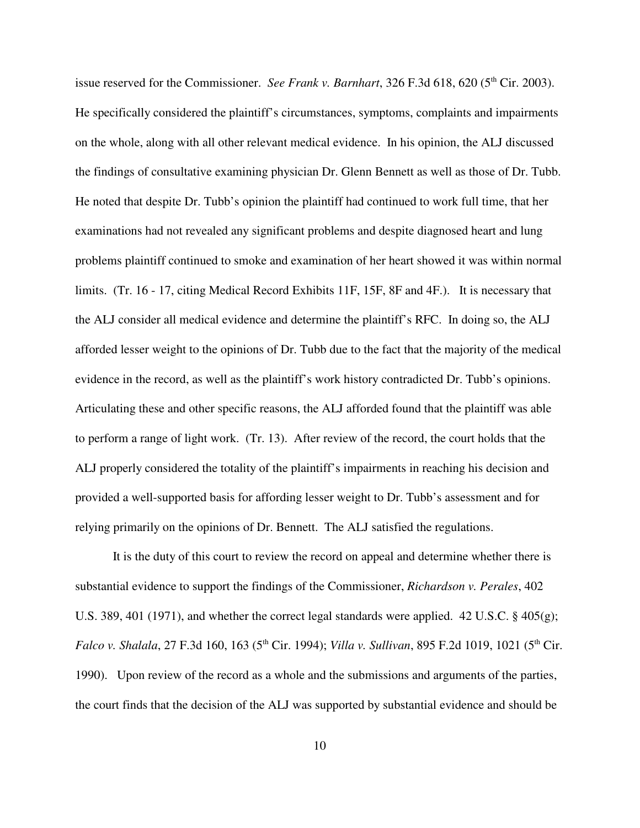issue reserved for the Commissioner. *See Frank v. Barnhart*, 326 F.3d 618, 620 (5<sup>th</sup> Cir. 2003). He specifically considered the plaintiff's circumstances, symptoms, complaints and impairments on the whole, along with all other relevant medical evidence. In his opinion, the ALJ discussed the findings of consultative examining physician Dr. Glenn Bennett as well as those of Dr. Tubb. He noted that despite Dr. Tubb's opinion the plaintiff had continued to work full time, that her examinations had not revealed any significant problems and despite diagnosed heart and lung problems plaintiff continued to smoke and examination of her heart showed it was within normal limits. (Tr. 16 - 17, citing Medical Record Exhibits 11F, 15F, 8F and 4F.). It is necessary that the ALJ consider all medical evidence and determine the plaintiff's RFC. In doing so, the ALJ afforded lesser weight to the opinions of Dr. Tubb due to the fact that the majority of the medical evidence in the record, as well as the plaintiff's work history contradicted Dr. Tubb's opinions. Articulating these and other specific reasons, the ALJ afforded found that the plaintiff was able to perform a range of light work. (Tr. 13). After review of the record, the court holds that the ALJ properly considered the totality of the plaintiff's impairments in reaching his decision and provided a well-supported basis for affording lesser weight to Dr. Tubb's assessment and for relying primarily on the opinions of Dr. Bennett. The ALJ satisfied the regulations.

It is the duty of this court to review the record on appeal and determine whether there is substantial evidence to support the findings of the Commissioner, *Richardson v. Perales*, 402 U.S. 389, 401 (1971), and whether the correct legal standards were applied. 42 U.S.C. § 405(g); *Falco v. Shalala*, 27 F.3d 160, 163 (5 th Cir. 1994); *Villa v. Sullivan*, 895 F.2d 1019, 1021 (5 th Cir. 1990). Upon review of the record as a whole and the submissions and arguments of the parties, the court finds that the decision of the ALJ was supported by substantial evidence and should be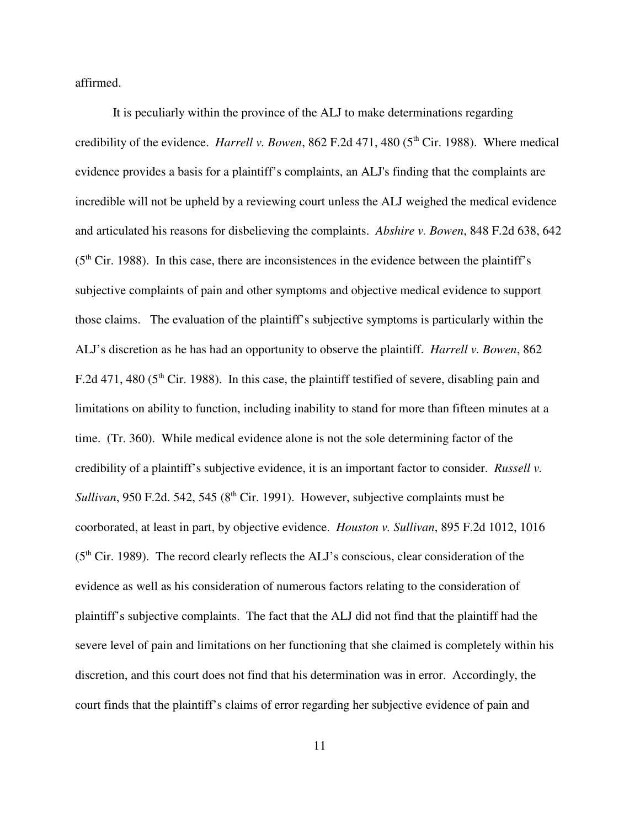affirmed.

It is peculiarly within the province of the ALJ to make determinations regarding credibility of the evidence. *Harrell v. Bowen*, 862 F.2d 471, 480 (5<sup>th</sup> Cir. 1988). Where medical evidence provides a basis for a plaintiff's complaints, an ALJ's finding that the complaints are incredible will not be upheld by a reviewing court unless the ALJ weighed the medical evidence and articulated his reasons for disbelieving the complaints. *Abshire v. Bowen*, 848 F.2d 638, 642  $(5<sup>th</sup> Cir. 1988)$ . In this case, there are inconsistences in the evidence between the plaintiff's subjective complaints of pain and other symptoms and objective medical evidence to support those claims. The evaluation of the plaintiff's subjective symptoms is particularly within the ALJ's discretion as he has had an opportunity to observe the plaintiff. *Harrell v. Bowen*, 862 F.2d 471, 480 ( $5<sup>th</sup>$  Cir. 1988). In this case, the plaintiff testified of severe, disabling pain and limitations on ability to function, including inability to stand for more than fifteen minutes at a time. (Tr. 360). While medical evidence alone is not the sole determining factor of the credibility of a plaintiff's subjective evidence, it is an important factor to consider. *Russell v.* Sullivan, 950 F.2d. 542, 545 (8<sup>th</sup> Cir. 1991). However, subjective complaints must be coorborated, at least in part, by objective evidence. *Houston v. Sullivan*, 895 F.2d 1012, 1016 (5<sup>th</sup> Cir. 1989). The record clearly reflects the ALJ's conscious, clear consideration of the evidence as well as his consideration of numerous factors relating to the consideration of plaintiff's subjective complaints. The fact that the ALJ did not find that the plaintiff had the severe level of pain and limitations on her functioning that she claimed is completely within his discretion, and this court does not find that his determination was in error. Accordingly, the court finds that the plaintiff's claims of error regarding her subjective evidence of pain and